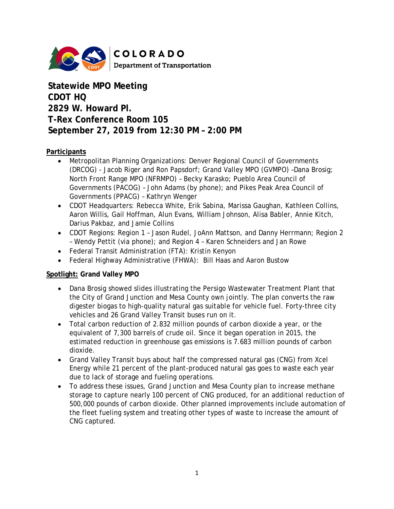

**Statewide MPO Meeting CDOT HQ 2829 W. Howard Pl. T-Rex Conference Room 105 September 27, 2019 from 12:30 PM – 2:00 PM**

## **Participants**

- Metropolitan Planning Organizations: Denver Regional Council of Governments (DRCOG) - Jacob Riger and Ron Papsdorf; Grand Valley MPO (GVMPO) –Dana Brosig; North Front Range MPO (NFRMPO) – Becky Karasko; Pueblo Area Council of Governments (PACOG) – John Adams (by phone); and Pikes Peak Area Council of Governments (PPACG) – Kathryn Wenger
- CDOT Headquarters: Rebecca White, Erik Sabina, Marissa Gaughan, Kathleen Collins, Aaron Willis, Gail Hoffman, Alun Evans, William Johnson, Alisa Babler, Annie Kitch, Darius Pakbaz, and Jamie Collins
- CDOT Regions: Region 1 Jason Rudel, JoAnn Mattson, and Danny Herrmann; Region 2 – Wendy Pettit (via phone); and Region 4 – Karen Schneiders and Jan Rowe
- Federal Transit Administration (FTA): Kristin Kenyon
- Federal Highway Administrative (FHWA): Bill Haas and Aaron Bustow

## **Spotlight: Grand Valley MPO**

- Dana Brosig showed slides illustrating the Persigo Wastewater Treatment Plant that the City of Grand Junction and Mesa County own jointly. The plan converts the raw digester biogas to high-quality natural gas suitable for vehicle fuel. Forty-three city vehicles and 26 Grand Valley Transit buses run on it.
- Total carbon reduction of 2.832 million pounds of carbon dioxide a year, or the equivalent of 7,300 barrels of crude oil. Since it began operation in 2015, the estimated reduction in greenhouse gas emissions is 7.683 million pounds of carbon dioxide.
- Grand Valley Transit buys about half the compressed natural gas (CNG) from Xcel Energy while 21 percent of the plant-produced natural gas goes to waste each year due to lack of storage and fueling operations.
- To address these issues, Grand Junction and Mesa County plan to increase methane storage to capture nearly 100 percent of CNG produced, for an additional reduction of 500,000 pounds of carbon dioxide. Other planned improvements include automation of the fleet fueling system and treating other types of waste to increase the amount of CNG captured.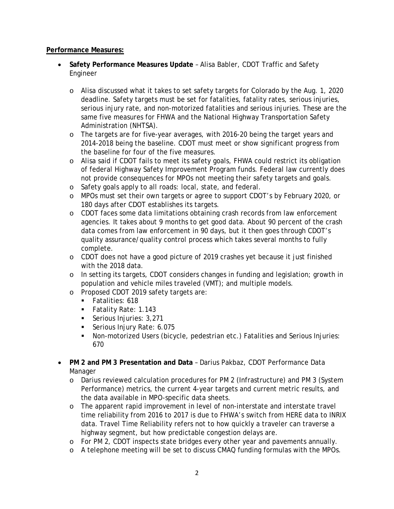### **Performance Measures:**

- **Safety Performance Measures Update** Alisa Babler, CDOT Traffic and Safety Engineer
	- o Alisa discussed what it takes to set safety targets for Colorado by the Aug. 1, 2020 deadline. Safety targets must be set for fatalities, fatality rates, serious injuries, serious injury rate, and non-motorized fatalities and serious injuries. These are the same five measures for FHWA and the National Highway Transportation Safety Administration (NHTSA).
	- o The targets are for five-year averages, with 2016-20 being the target years and 2014-2018 being the baseline. CDOT must meet or show significant progress from the baseline for four of the five measures.
	- o Alisa said if CDOT fails to meet its safety goals, FHWA could restrict its obligation of federal Highway Safety Improvement Program funds. Federal law currently does not provide consequences for MPOs not meeting their safety targets and goals.
	- o Safety goals apply to all roads: local, state, and federal.
	- o MPOs must set their own targets or agree to support CDOT's by February 2020, or 180 days after CDOT establishes its targets.
	- o CDOT faces some data limitations obtaining crash records from law enforcement agencies. It takes about 9 months to get good data. About 90 percent of the crash data comes from law enforcement in 90 days, but it then goes through CDOT's quality assurance/quality control process which takes several months to fully complete.
	- o CDOT does not have a good picture of 2019 crashes yet because it just finished with the 2018 data.
	- o In setting its targets, CDOT considers changes in funding and legislation; growth in population and vehicle miles traveled (VMT); and multiple models.
	- o Proposed CDOT 2019 safety targets are:
		- Fatalities: 618
		- **Fatality Rate: 1.143**
		- Serious Injuries: 3,271
		- Serious Injury Rate: 6.075
		- Non-motorized Users (bicycle, pedestrian etc.) Fatalities and Serious Injuries: 670
- **PM 2 and PM 3 Presentation and Data** Darius Pakbaz, CDOT Performance Data Manager
	- o Darius reviewed calculation procedures for PM 2 (Infrastructure) and PM 3 (System Performance) metrics, the current 4-year targets and current metric results, and the data available in MPO-specific data sheets.
	- o The apparent rapid improvement in level of non-interstate and interstate travel time reliability from 2016 to 2017 is due to FHWA's switch from HERE data to INRIX data. Travel Time Reliability refers not to how quickly a traveler can traverse a highway segment, but how predictable congestion delays are.
	- o For PM 2, CDOT inspects state bridges every other year and pavements annually.
	- o A telephone meeting will be set to discuss CMAQ funding formulas with the MPOs.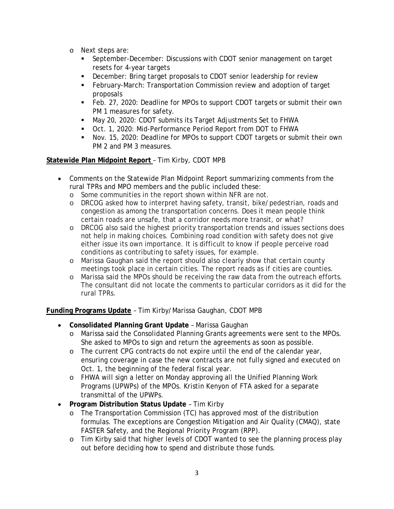- o Next steps are:
	- September-December: Discussions with CDOT senior management on target resets for 4-year targets
	- December: Bring target proposals to CDOT senior leadership for review
	- February-March: Transportation Commission review and adoption of target proposals
	- Feb. 27, 2020: Deadline for MPOs to support CDOT targets or submit their own PM 1 measures for safety.
	- May 20, 2020: CDOT submits its Target Adjustments Set to FHWA
	- Oct. 1, 2020: Mid-Performance Period Report from DOT to FHWA
	- Nov. 15, 2020: Deadline for MPOs to support CDOT targets or submit their own PM 2 and PM 3 measures.

# **Statewide Plan Midpoint Report** – Tim Kirby, CDOT MPB

- Comments on the Statewide Plan Midpoint Report summarizing comments from the rural TPRs and MPO members and the public included these:
	- o Some communities in the report shown within NFR are not.
	- o DRCOG asked how to interpret having safety, transit, bike/pedestrian, roads and congestion as among the transportation concerns. Does it mean people think certain roads are unsafe, that a corridor needs more transit, or what?
	- o DRCOG also said the highest priority transportation trends and issues sections does not help in making choices. Combining road condition with safety does not give either issue its own importance. It is difficult to know if people perceive road conditions as contributing to safety issues, for example.
	- o Marissa Gaughan said the report should also clearly show that certain county meetings took place in certain cities. The report reads as if cities are counties.
	- o Marissa said the MPOs should be receiving the raw data from the outreach efforts. The consultant did not locate the comments to particular corridors as it did for the rural TPRs.

**Funding Programs Update** – Tim Kirby/Marissa Gaughan, CDOT MPB

- **Consolidated Planning Grant Update** Marissa Gaughan
	- o Marissa said the Consolidated Planning Grants agreements were sent to the MPOs. She asked to MPOs to sign and return the agreements as soon as possible.
	- o The current CPG contracts do not expire until the end of the calendar year, ensuring coverage in case the new contracts are not fully signed and executed on Oct. 1, the beginning of the federal fiscal year.
	- o FHWA will sign a letter on Monday approving all the Unified Planning Work Programs (UPWPs) of the MPOs. Kristin Kenyon of FTA asked for a separate transmittal of the UPWPs.
- **Program Distribution Status Update**  Tim Kirby
	- o The Transportation Commission (TC) has approved most of the distribution formulas. The exceptions are Congestion Mitigation and Air Quality (CMAQ), state FASTER Safety, and the Regional Priority Program (RPP).
	- o Tim Kirby said that higher levels of CDOT wanted to see the planning process play out before deciding how to spend and distribute those funds.